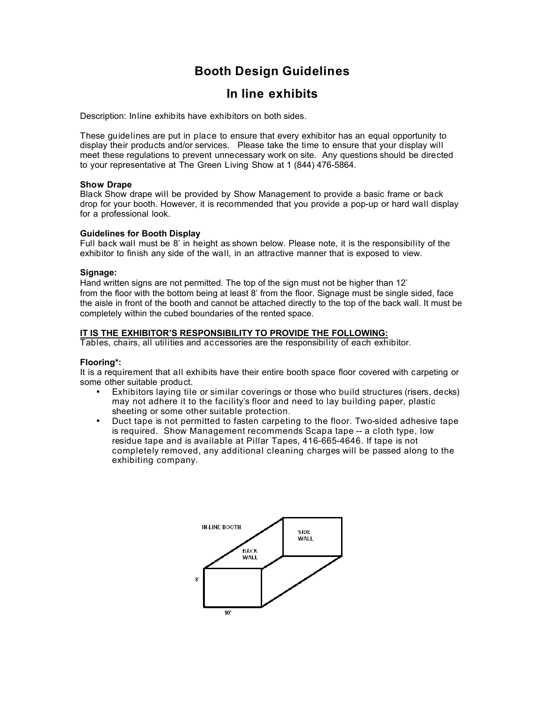# **Booth Design Guidelines**

# **In line exhibits**

Description: Inline exhibits have exhibitors on both sides.

These guidelines are put in place to ensure that every exhibitor has an equal opportunity to display their products and/or services. Please take the time to ensure that your display will meet these regulations to prevent unnecessary work on site. Any questions should be directed to your representative at The Green Living Show at 1 (844) 476-5864.

### **Show Drape**

Black Show drape will be provided by Show Management to provide a basic frame or back drop for your booth. However, it is recommended that you provide a pop-up or hard wall display for a professional look.

# **Guidelines for Booth Display**

Full back wall must be 8' in height as shown below. Please note, it is the responsibility of the exhibitor to finish any side of the wall, in an attractive manner that is exposed to view.

### **Signage:**

Hand written signs are not permitted. The top of the sign must not be higher than 12' from the floor with the bottom being at least 8' from the floor. Signage must be single sided, face the aisle in front of the booth and cannot be attached directly to the top of the back wall. It must be completely within the cubed boundaries of the rented space.

# **IT IS THE EXHIBITOR'S RESPONSIBILITY TO PROVIDE THE FOLLOWING:**

Tables, chairs, all utilities and accessories are the responsibility of each exhibitor.

# **Flooring\*:**

It is a requirement that all exhibits have their entire booth space floor covered with carpeting or some other suitable product.

- Exhibitors laying tile or similar coverings or those who build structures (risers, decks) may not adhere it to the facility's floor and need to lay building paper, plastic sheeting or some other suitable protection.
- Duct tape is not permitted to fasten carpeting to the floor. Two-sided adhesive tape is required. Show Management recommends Scapa tape -- a cloth type, low residue tape and is available at Pillar Tapes, 416-665-4646. If tape is not completely removed, any additional cleaning charges will be passed along to the exhibiting company.

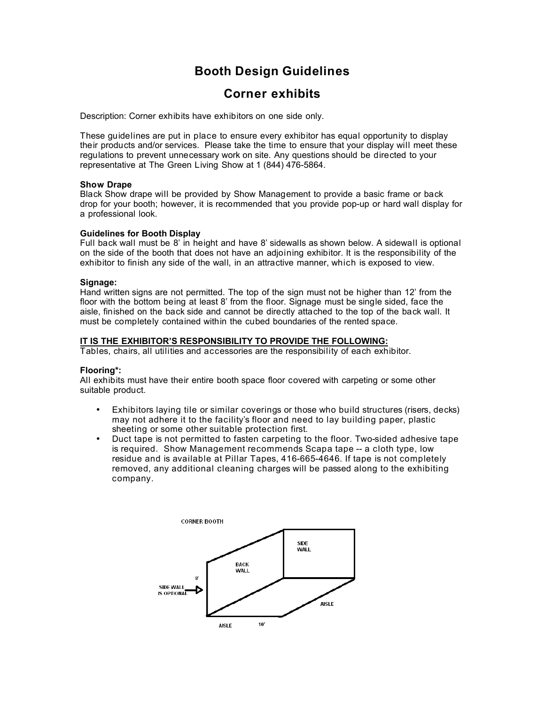# **Booth Design Guidelines**

# **Corner exhibits**

Description: Corner exhibits have exhibitors on one side only.

These guidelines are put in place to ensure every exhibitor has equal opportunity to display their products and/or services. Please take the time to ensure that your display will meet these regulations to prevent unnecessary work on site. Any questions should be directed to your representative at The Green Living Show at 1 (844) 476-5864.

### **Show Drape**

Black Show drape will be provided by Show Management to provide a basic frame or back drop for your booth; however, it is recommended that you provide pop-up or hard wall display for a professional look.

### **Guidelines for Booth Display**

Full back wall must be 8' in height and have 8' sidewalls as shown below. A sidewall is optional on the side of the booth that does not have an adjoining exhibitor. It is the responsibility of the exhibitor to finish any side of the wall, in an attractive manner, which is exposed to view.

### **Signage:**

Hand written signs are not permitted. The top of the sign must not be higher than 12' from the floor with the bottom being at least 8' from the floor. Signage must be single sided, face the aisle, finished on the back side and cannot be directly attached to the top of the back wall. It must be completely contained within the cubed boundaries of the rented space.

### **IT IS THE EXHIBITOR'S RESPONSIBILITY TO PROVIDE THE FOLLOWING:**

Tables, chairs, all utilities and accessories are the responsibility of each exhibitor.

# **Flooring\*:**

All exhibits must have their entire booth space floor covered with carpeting or some other suitable product.

- Exhibitors laying tile or similar coverings or those who build structures (risers, decks) may not adhere it to the facility's floor and need to lay building paper, plastic sheeting or some other suitable protection first.
- Duct tape is not permitted to fasten carpeting to the floor. Two-sided adhesive tape is required. Show Management recommends Scapa tape -- a cloth type, low residue and is available at Pillar Tapes, 416-665-4646. If tape is not completely removed, any additional cleaning charges will be passed along to the exhibiting company.

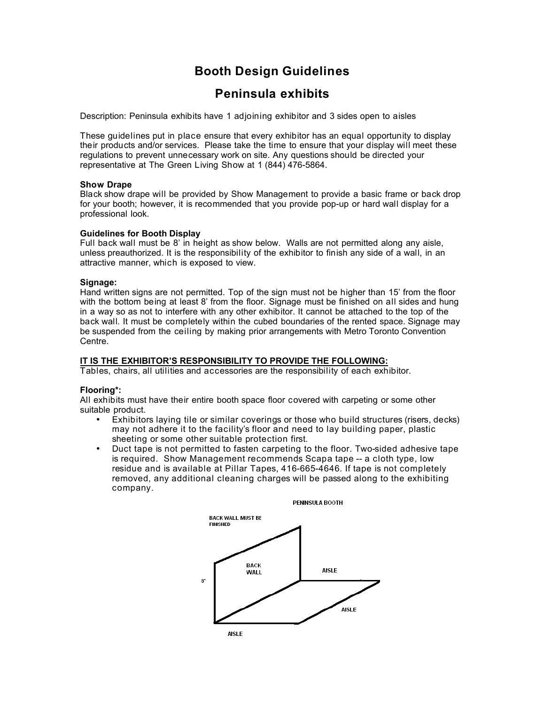# **Booth Design Guidelines**

# **Peninsula exhibits**

Description: Peninsula exhibits have 1 adjoining exhibitor and 3 sides open to aisles

These guidelines put in place ensure that every exhibitor has an equal opportunity to display their products and/or services. Please take the time to ensure that your display will meet these regulations to prevent unnecessary work on site. Any questions should be directed your representative at The Green Living Show at 1 (844) 476-5864.

# **Show Drape**

Black show drape will be provided by Show Management to provide a basic frame or back drop for your booth; however, it is recommended that you provide pop-up or hard wall display for a professional look.

### **Guidelines for Booth Display**

Full back wall must be 8' in height as show below. Walls are not permitted along any aisle, unless preauthorized. It is the responsibility of the exhibitor to finish any side of a wall, in an attractive manner, which is exposed to view.

### **Signage:**

Hand written signs are not permitted. Top of the sign must not be higher than 15' from the floor with the bottom being at least 8' from the floor. Signage must be finished on all sides and hung in a way so as not to interfere with any other exhibitor. It cannot be attached to the top of the back wall. It must be completely within the cubed boundaries of the rented space. Signage may be suspended from the ceiling by making prior arrangements with Metro Toronto Convention Centre.

# **IT IS THE EXHIBITOR'S RESPONSIBILITY TO PROVIDE THE FOLLOWING:**

Tables, chairs, all utilities and accessories are the responsibility of each exhibitor.

# **Flooring\*:**

All exhibits must have their entire booth space floor covered with carpeting or some other suitable product.

- Exhibitors laying tile or similar coverings or those who build structures (risers, decks) may not adhere it to the facility's floor and need to lay building paper, plastic sheeting or some other suitable protection first.
- Duct tape is not permitted to fasten carpeting to the floor. Two-sided adhesive tape is required. Show Management recommends Scapa tape -- a cloth type, low residue and is available at Pillar Tapes, 416-665-4646. If tape is not completely removed, any additional cleaning charges will be passed along to the exhibiting company.